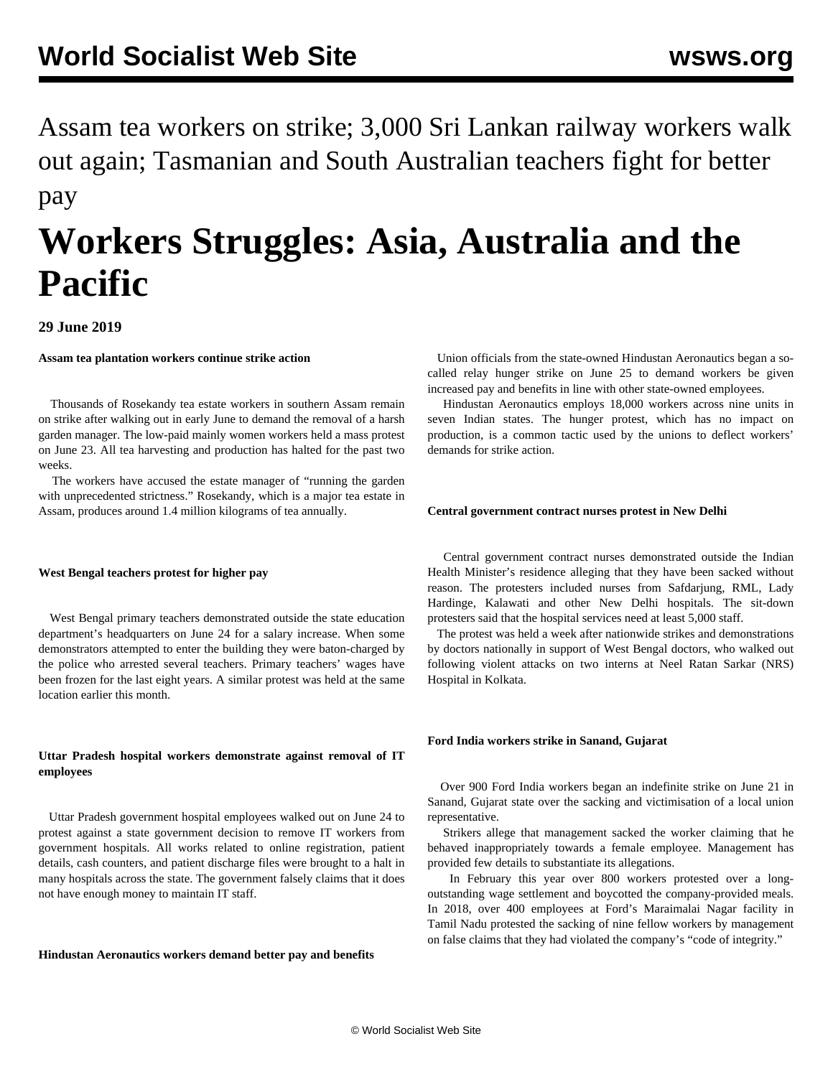Assam tea workers on strike; 3,000 Sri Lankan railway workers walk out again; Tasmanian and South Australian teachers fight for better pay

# **Workers Struggles: Asia, Australia and the Pacific**

# **29 June 2019**

# **Assam tea plantation workers continue strike action**

 Thousands of Rosekandy tea estate workers in southern Assam remain on strike after walking out in early June to demand the removal of a harsh garden manager. The low-paid mainly women workers held a mass protest on June 23. All tea harvesting and production has halted for the past two weeks.

 The workers have accused the estate manager of "running the garden with unprecedented strictness." Rosekandy, which is a major tea estate in Assam, produces around 1.4 million kilograms of tea annually.

## **West Bengal teachers protest for higher pay**

 West Bengal primary teachers demonstrated outside the state education department's headquarters on June 24 for a salary increase. When some demonstrators attempted to enter the building they were baton-charged by the police who arrested several teachers. Primary teachers' wages have been frozen for the last eight years. A similar protest was held at the same location earlier this month.

# **Uttar Pradesh hospital workers demonstrate against removal of IT employees**

 Uttar Pradesh government hospital employees walked out on June 24 to protest against a state government decision to remove IT workers from government hospitals. All works related to online registration, patient details, cash counters, and patient discharge files were brought to a halt in many hospitals across the state. The government falsely claims that it does not have enough money to maintain IT staff.

# **Hindustan Aeronautics workers demand better pay and benefits**

 Union officials from the state-owned Hindustan Aeronautics began a socalled relay hunger strike on June 25 to demand workers be given increased pay and benefits in line with other state-owned employees.

 Hindustan Aeronautics employs 18,000 workers across nine units in seven Indian states. The hunger protest, which has no impact on production, is a common tactic used by the unions to deflect workers' demands for strike action.

## **Central government contract nurses protest in New Delhi**

 Central government contract nurses demonstrated outside the Indian Health Minister's residence alleging that they have been sacked without reason. The protesters included nurses from Safdarjung, RML, Lady Hardinge, Kalawati and other New Delhi hospitals. The sit-down protesters said that the hospital services need at least 5,000 staff.

 The protest was held a week after nationwide strikes and demonstrations by doctors nationally in support of West Bengal doctors, who walked out following violent attacks on two interns at Neel Ratan Sarkar (NRS) Hospital in Kolkata.

# **Ford India workers strike in Sanand, Gujarat**

 Over 900 Ford India workers began an indefinite strike on June 21 in Sanand, Gujarat state over the sacking and victimisation of a local union representative.

 Strikers allege that management sacked the worker claiming that he behaved inappropriately towards a female employee. Management has provided few details to substantiate its allegations.

 In February this year over 800 workers protested over a longoutstanding wage settlement and boycotted the company-provided meals. In 2018, over 400 employees at Ford's Maraimalai Nagar facility in Tamil Nadu protested the sacking of nine fellow workers by management on false claims that they had violated the company's "code of integrity."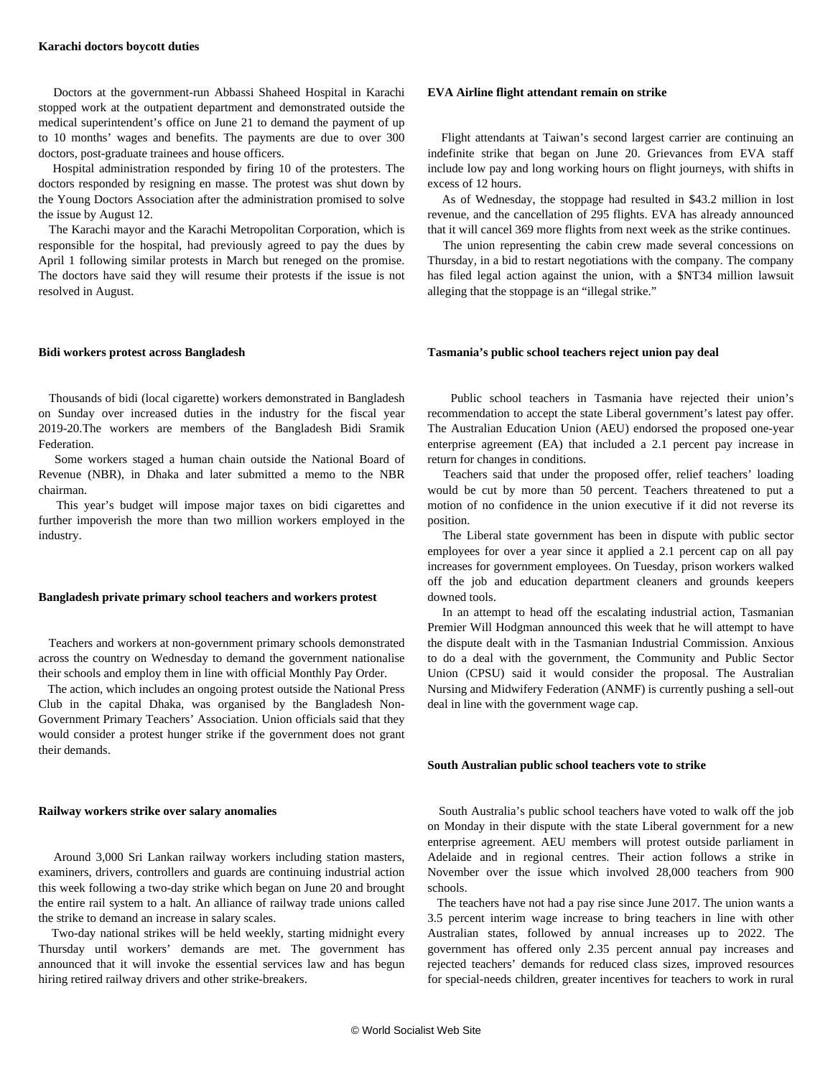Doctors at the government-run Abbassi Shaheed Hospital in Karachi stopped work at the outpatient department and demonstrated outside the medical superintendent's office on June 21 to demand the payment of up to 10 months' wages and benefits. The payments are due to over 300 doctors, post-graduate trainees and house officers.

 Hospital administration responded by firing 10 of the protesters. The doctors responded by resigning en masse. The protest was shut down by the Young Doctors Association after the administration promised to solve the issue by August 12.

 The Karachi mayor and the Karachi Metropolitan Corporation, which is responsible for the hospital, had previously agreed to pay the dues by April 1 following similar protests in March but reneged on the promise. The doctors have said they will resume their protests if the issue is not resolved in August.

#### **Bidi workers protest across Bangladesh**

 Thousands of bidi (local cigarette) workers demonstrated in Bangladesh on Sunday over increased duties in the industry for the fiscal year 2019-20.The workers are members of the Bangladesh Bidi Sramik **Federation** 

 Some workers staged a human chain outside the National Board of Revenue (NBR), in Dhaka and later submitted a memo to the NBR chairman.

 This year's budget will impose major taxes on bidi cigarettes and further impoverish the more than two million workers employed in the industry.

#### **Bangladesh private primary school teachers and workers protest**

 Teachers and workers at non-government primary schools demonstrated across the country on Wednesday to demand the government nationalise their schools and employ them in line with official Monthly Pay Order.

 The action, which includes an ongoing protest outside the National Press Club in the capital Dhaka, was organised by the Bangladesh Non-Government Primary Teachers' Association. Union officials said that they would consider a protest hunger strike if the government does not grant their demands.

#### **Railway workers strike over salary anomalies**

 Around 3,000 Sri Lankan railway workers including station masters, examiners, drivers, controllers and guards are continuing industrial action this week following a two-day strike which began on June 20 and brought the entire rail system to a halt. An alliance of railway trade unions called the strike to demand an increase in salary scales.

 Two-day national strikes will be held weekly, starting midnight every Thursday until workers' demands are met. The government has announced that it will invoke the essential services law and has begun hiring retired railway drivers and other strike-breakers.

#### **EVA Airline flight attendant remain on strike**

 Flight attendants at Taiwan's second largest carrier are continuing an indefinite strike that began on June 20. Grievances from EVA staff include low pay and long working hours on flight journeys, with shifts in excess of 12 hours.

 As of Wednesday, the stoppage had resulted in \$43.2 million in lost revenue, and the cancellation of 295 flights. EVA has already announced that it will cancel 369 more flights from next week as the strike continues.

 The union representing the cabin crew made several concessions on Thursday, in a bid to restart negotiations with the company. The company has filed legal action against the union, with a \$NT34 million lawsuit alleging that the stoppage is an "illegal strike."

## **Tasmania's public school teachers reject union pay deal**

 Public school teachers in Tasmania have rejected their union's recommendation to accept the state Liberal government's latest pay offer. The Australian Education Union (AEU) endorsed the proposed one-year enterprise agreement (EA) that included a 2.1 percent pay increase in return for changes in conditions.

 Teachers said that under the proposed offer, relief teachers' loading would be cut by more than 50 percent. Teachers threatened to put a motion of no confidence in the union executive if it did not reverse its position.

 The Liberal state government has been in dispute with public sector employees for over a year since it applied a 2.1 percent cap on all pay increases for government employees. On Tuesday, prison workers walked off the job and education department cleaners and grounds keepers downed tools.

 In an attempt to head off the escalating industrial action, Tasmanian Premier Will Hodgman announced this week that he will attempt to have the dispute dealt with in the Tasmanian Industrial Commission. Anxious to do a deal with the government, the Community and Public Sector Union (CPSU) said it would consider the proposal. The Australian Nursing and Midwifery Federation (ANMF) is currently pushing a sell-out deal in line with the government wage cap.

#### **South Australian public school teachers vote to strike**

 South Australia's public school teachers have voted to walk off the job on Monday in their dispute with the state Liberal government for a new enterprise agreement. AEU members will protest outside parliament in Adelaide and in regional centres. Their action follows a strike in November over the issue which involved 28,000 teachers from 900 schools.

 The teachers have not had a pay rise since June 2017. The union wants a 3.5 percent interim wage increase to bring teachers in line with other Australian states, followed by annual increases up to 2022. The government has offered only 2.35 percent annual pay increases and rejected teachers' demands for reduced class sizes, improved resources for special-needs children, greater incentives for teachers to work in rural